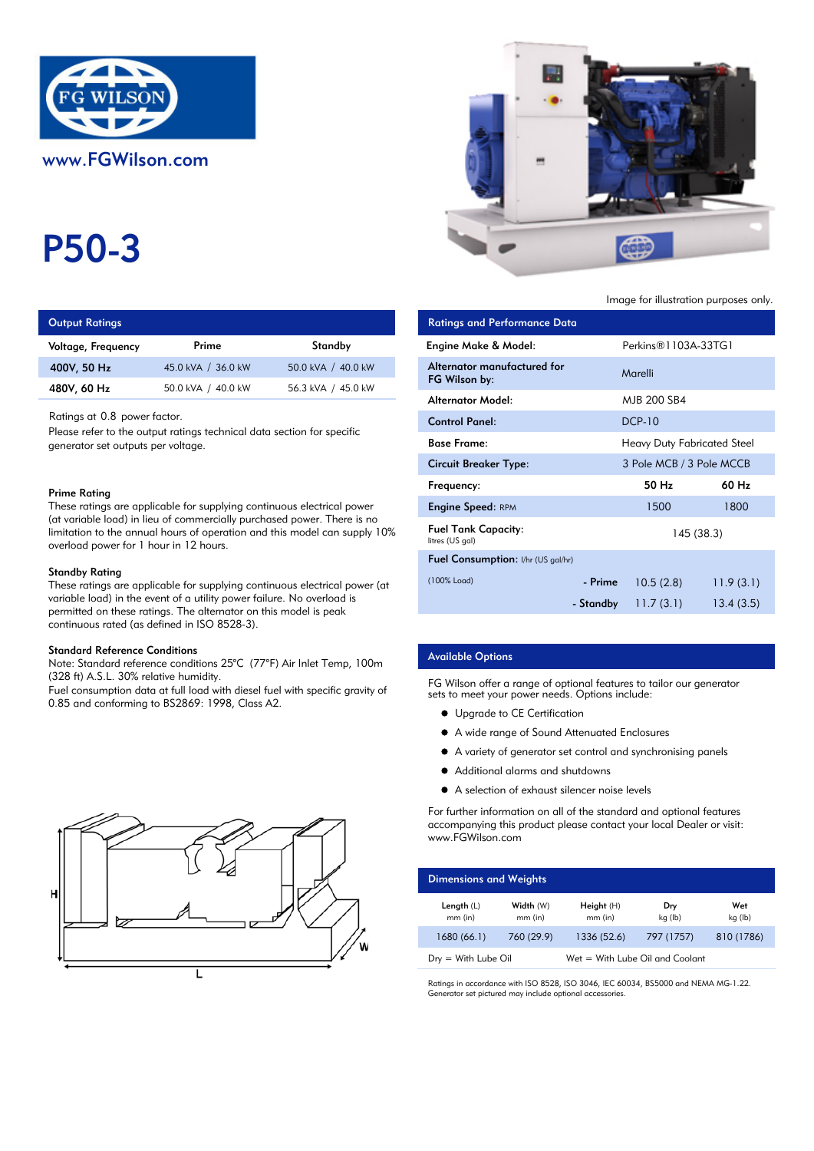

# P50-3

| <b>Output Ratings</b> |       |         |                                 | Ratings and Performance Data |  |  |
|-----------------------|-------|---------|---------------------------------|------------------------------|--|--|
| Voltage, Freguency    | Prime | Standby | <b>Engine Make &amp; Model:</b> |                              |  |  |
|                       | .     |         |                                 |                              |  |  |

| 400V, 50 Hz | 45.0 kVA / 36.0 kW | 50.0 kVA / 40.0 kW |
|-------------|--------------------|--------------------|
| 480V, 60 Hz | 50.0 kVA / 40.0 kW | 56.3 kVA / 45.0 kW |

## Prime Rating

#### Standby Rating

These ratings are applicable for supplying continuous electrical power (at variable load) in the event of a utility power failure. No overload is permitted on these ratings. The alternator on this model is peak continuous rated (as defined in ISO 8528-3).

### Standard Reference Conditions

Note: Standard reference conditions 25°C (77°F) Air Inlet Temp, 100m (328 ft) A.S.L. 30% relative humidity.

Fuel consumption data at full load with diesel fuel with specific gravity of 0.85 and conforming to BS2869: 1998, Class A2.





Image for illustration purposes only.

| <b>Output Ratings</b>                                                                                                                                                                                                                                                                             |                                                                                                                                            |                    | <b>Ratings and Performance Data</b>           |           |                                    |            |
|---------------------------------------------------------------------------------------------------------------------------------------------------------------------------------------------------------------------------------------------------------------------------------------------------|--------------------------------------------------------------------------------------------------------------------------------------------|--------------------|-----------------------------------------------|-----------|------------------------------------|------------|
| Voltage, Frequency                                                                                                                                                                                                                                                                                | Prime                                                                                                                                      | Standby            | Engine Make & Model:                          |           | Perkins <sup>®</sup> 1103A-33TG1   |            |
| 400V, 50 Hz                                                                                                                                                                                                                                                                                       | 45.0 kVA / 36.0 kW                                                                                                                         | 50.0 kVA / 40.0 kW | Alternator manufactured for<br>FG Wilson by:  |           | Marelli                            |            |
| 480V, 60 Hz                                                                                                                                                                                                                                                                                       | 50.0 kVA / 40.0 kW                                                                                                                         | 56.3 kVA / 45.0 kW | <b>Alternator Model:</b>                      |           | MJB 200 SB4                        |            |
| Ratings at 0.8 power factor.<br>Please refer to the output ratings technical data section for specific<br>generator set outputs per voltage.                                                                                                                                                      |                                                                                                                                            |                    | <b>Control Panel:</b>                         |           | <b>DCP-10</b>                      |            |
|                                                                                                                                                                                                                                                                                                   |                                                                                                                                            |                    | <b>Base Frame:</b>                            |           | <b>Heavy Duty Fabricated Steel</b> |            |
|                                                                                                                                                                                                                                                                                                   |                                                                                                                                            |                    | <b>Circuit Breaker Type:</b>                  |           | 3 Pole MCB / 3 Pole MCCB           |            |
| Prime Ratina                                                                                                                                                                                                                                                                                      |                                                                                                                                            |                    |                                               |           | 50 Hz                              | 60 Hz      |
|                                                                                                                                                                                                                                                                                                   | These ratings are applicable for supplying continuous electrical power                                                                     |                    | <b>Engine Speed: RPM</b>                      |           | 1500                               | 1800       |
| (at variable load) in lieu of commercially purchased power. There is no<br>limitation to the annual hours of operation and this model can supply $10\%$<br>overload power for 1 hour in 12 hours.<br>Standby Rating<br>These ratings are applicable for supplying continuous electrical power (at |                                                                                                                                            |                    | <b>Fuel Tank Capacity:</b><br>litres (US gal) |           |                                    | 145 (38.3) |
|                                                                                                                                                                                                                                                                                                   |                                                                                                                                            |                    | Fuel Consumption: I/hr (US gal/hr)            |           |                                    |            |
|                                                                                                                                                                                                                                                                                                   |                                                                                                                                            |                    | (100% Load)                                   | - Prime   | 10.5(2.8)                          | 11.9(3.1)  |
|                                                                                                                                                                                                                                                                                                   | variable load) in the event of a utility power failure. No overload is<br>permitted on these ratinas. The alternator on this model is peak |                    |                                               | - Standby | 11.7(3.1)                          | 13.4(3.5)  |

## Available Options

FG Wilson offer a range of optional features to tailor our generator sets to meet your power needs. Options include:

- **•** Upgrade to CE Certification
- A wide range of Sound Attenuated Enclosures
- A variety of generator set control and synchronising panels
- $\bullet$ Additional alarms and shutdowns
- A selection of exhaust silencer noise levels

For further information on all of the standard and optional features accompanying this product please contact your local Dealer or visit: www.FGWilson.com

| <b>Dimensions and Weights</b>   |                        |                                 |                |                |  |
|---------------------------------|------------------------|---------------------------------|----------------|----------------|--|
| Length $(L)$<br>$mm$ (in)       | Width (W)<br>$mm$ (in) | Height $(H)$<br>$mm$ (in)       | Dry<br>kg (lb) | Wet<br>kg (lb) |  |
| 1680 (66.1)                     | 760 (29.9)             | 1336 (52.6)                     | 797 (1757)     | 810 (1786)     |  |
| $D_{\text{IV}} =$ With Lube Oil |                        | Wet = With Lube Oil and Coolant |                |                |  |

Ratings in accordance with ISO 8528, ISO 3046, IEC 60034, BS5000 and NEMA MG-1.22. Generator set pictured may include optional accessories.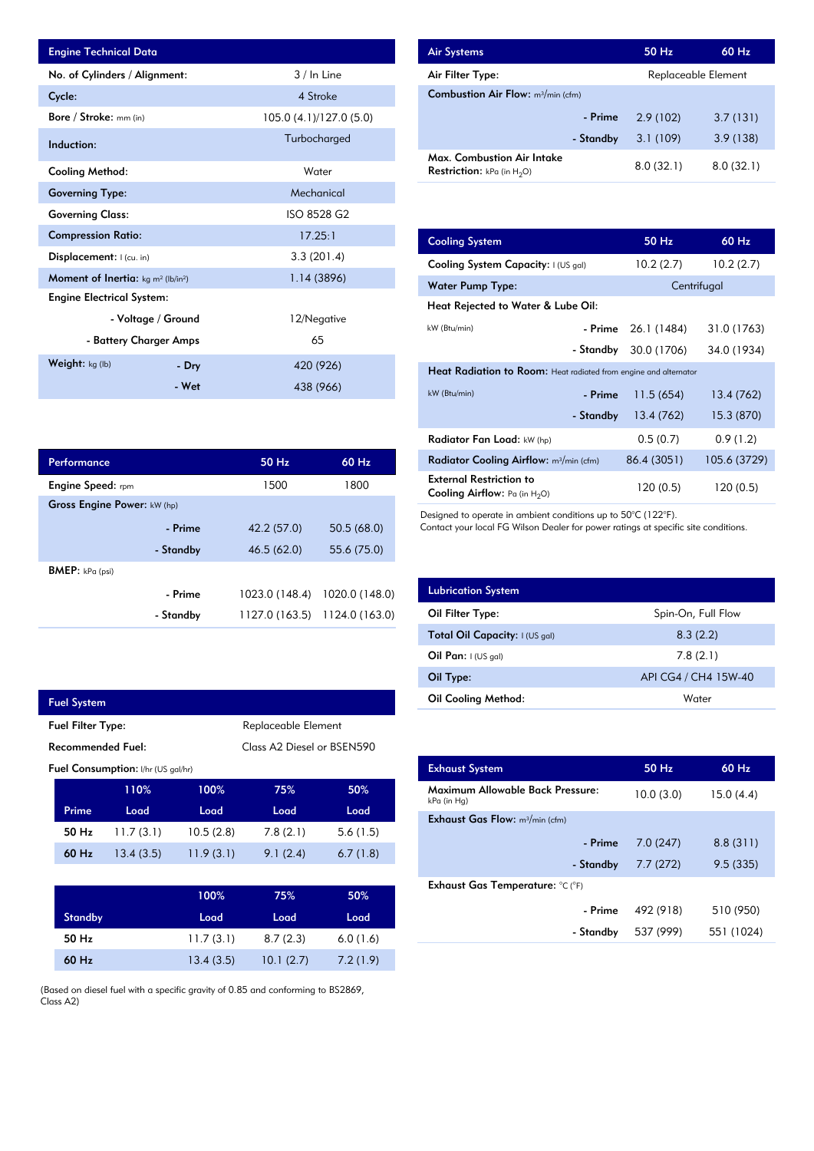| <b>Engine Technical Data</b>                                      |                        |                         | <b>Air Systems</b>               |
|-------------------------------------------------------------------|------------------------|-------------------------|----------------------------------|
| No. of Cylinders / Alignment:                                     |                        | 3 / In Line             | Air Filter Ty                    |
| Cycle:                                                            |                        | 4 Stroke                | <b>Combustion</b>                |
| Bore / Stroke: mm (in)                                            |                        | 105.0 (4.1)/127.0 (5.0) |                                  |
| Induction:                                                        |                        | Turbocharged            |                                  |
| <b>Cooling Method:</b>                                            |                        | Water                   | Max. Comb<br><b>Restriction:</b> |
| <b>Governing Type:</b>                                            |                        | Mechanical              |                                  |
| <b>Governing Class:</b>                                           |                        | ISO 8528 G2             |                                  |
| <b>Compression Ratio:</b>                                         |                        | 17.25:1                 | <b>Cooling Sys</b>               |
| Displacement: I (cu. in)                                          |                        | 3.3(201.4)              | <b>Cooling Sys</b>               |
| <b>Moment of Inertia:</b> kg m <sup>2</sup> (lb/in <sup>2</sup> ) |                        | 1.14(3896)              | Water Pum                        |
| <b>Engine Electrical System:</b>                                  |                        |                         | <b>Heat Reject</b>               |
|                                                                   | - Voltage / Ground     | 12/Negative             | kW (Btu/min)                     |
|                                                                   | - Battery Charger Amps | 65                      |                                  |
| Weight: kg (lb)                                                   | - Dry                  | 420 (926)               | <b>Heat Radia</b>                |
|                                                                   | - Wet                  | 438 (966)               | $kW$ (Btu/min)                   |

| Performance                        |           | $50$ Hz        | $60$ Hz        |
|------------------------------------|-----------|----------------|----------------|
| <b>Engine Speed:</b> rpm           |           | 1500           | 1800           |
| <b>Gross Engine Power: kW (hp)</b> |           |                |                |
|                                    | - Prime   | 42.2 (57.0)    | 50.5(68.0)     |
|                                    | - Standby | 46.5 (62.0)    | 55.6 (75.0)    |
| <b>BMEP:</b> $kPa$ (psi)           |           |                |                |
|                                    | - Prime   | 1023.0 (148.4) | 1020.0 (148.0) |
|                                    | - Standby | 1127.0 (163.5) | 1124.0 (163.0) |

|                                                 | <b>Fuel System</b> |                                           |           |          |          |
|-------------------------------------------------|--------------------|-------------------------------------------|-----------|----------|----------|
| Replaceable Element<br><b>Fuel Filter Type:</b> |                    |                                           |           |          |          |
| Recommended Fuel:<br>Class A2 Diesel or BSEN590 |                    |                                           |           |          |          |
|                                                 |                    | <b>Fuel Consumption:</b> I/hr (US gal/hr) |           |          |          |
|                                                 |                    | 110%                                      | 100%      | 75%      | 50%      |
|                                                 | Prime              | Load                                      | Load      | Load     | Load     |
|                                                 | 50 Hz              | 11.7(3.1)                                 | 10.5(2.8) | 7.8(2.1) | 5.6(1.5) |
|                                                 | 60 Hz              | 13.4(3.5)                                 | 11.9(3.1) | 9.1(2.4) | 6.7(1.8) |

F

|                | 100%      | 75%       | 50%      |
|----------------|-----------|-----------|----------|
| <b>Standby</b> | Load      | Load      | Load     |
| 50 Hz          | 11.7(3.1) | 8.7(2.3)  | 6.0(1.6) |
| $60$ Hz        | 13.4(3.5) | 10.1(2.7) | 7.2(1.9) |

(Based on diesel fuel with a specific gravity of 0.85 and conforming to BS2869, Class A2)

| <b>Air Systems</b>                                                 | 50 Hz     | $60$ Hz             |  |  |
|--------------------------------------------------------------------|-----------|---------------------|--|--|
| Air Filter Type:                                                   |           | Replaceable Element |  |  |
| <b>Combustion Air Flow:</b> m <sup>3</sup> /min (cfm)              |           |                     |  |  |
| - Prime                                                            | 2.9(102)  | 3.7(131)            |  |  |
| - Standby                                                          | 3.1(109)  | 3.9(138)            |  |  |
| Max. Combustion Air Intake<br><b>Restriction:</b> kPa (in $H_2O$ ) | 8.0(32.1) | 8.0(32.1)           |  |  |

| 17.25:1        | <b>Cooling System</b>                                                     | 50 Hz                                                            | 60 Hz        |  |  |  |
|----------------|---------------------------------------------------------------------------|------------------------------------------------------------------|--------------|--|--|--|
| 3.3(201.4)     | Cooling System Capacity: I (US gal)                                       | 10.2(2.7)                                                        | 10.2(2.7)    |  |  |  |
| 1.14(3896)     | <b>Water Pump Type:</b>                                                   |                                                                  | Centrifugal  |  |  |  |
|                | Heat Rejected to Water & Lube Oil:                                        |                                                                  |              |  |  |  |
| 12/Negative    | kW (Btu/min)<br>- Prime                                                   | 26.1 (1484)                                                      | 31.0 (1763)  |  |  |  |
| 65             | - Standby                                                                 | 30.0 (1706)                                                      | 34.0 (1934)  |  |  |  |
| 420 (926)      |                                                                           | Heat Radiation to Room: Heat radiated from engine and alternator |              |  |  |  |
| 438 (966)      | kW (Btu/min)<br>- Prime                                                   | 11.5(654)                                                        | 13.4 (762)   |  |  |  |
|                | - Standby                                                                 | 13.4 (762)                                                       | 15.3 (870)   |  |  |  |
|                | Radiator Fan Load: kW (hp)                                                | 0.5(0.7)                                                         | 0.9(1.2)     |  |  |  |
| 50 Hz<br>60 Hz | Radiator Cooling Airflow: m <sup>3</sup> /min (cfm)                       | 86.4 (3051)                                                      | 105.6 (3729) |  |  |  |
| 1500<br>1800   | <b>External Restriction to</b><br><b>Cooling Airflow:</b> Pa (in $H_2O$ ) | 120(0.5)                                                         | 120 (0.5)    |  |  |  |

Designed to operate in ambient conditions up to 50°C (122°F).

Contact your local FG Wilson Dealer for power ratings at specific site conditions.

| <b>Lubrication System</b>      |                      |
|--------------------------------|----------------------|
| Oil Filter Type:               | Spin-On, Full Flow   |
| Total Oil Capacity: I (US gal) | 8.3(2.2)             |
| Oil Pan: $(US gal)$            | 7.8(2.1)             |
| Oil Type:                      | API CG4 / CH4 15W-40 |
| Oil Cooling Method:            | Water                |

| <b>Exhaust System</b>                           | 50 Hz     | $60$ Hz    |
|-------------------------------------------------|-----------|------------|
| Maximum Allowable Back Pressure:<br>kPa (in Hg) | 10.0(3.0) | 15.0(4.4)  |
| <b>Exhaust Gas Flow:</b> $m^3/m$ in (cfm)       |           |            |
| - Prime                                         | 7.0(247)  | 8.8(311)   |
| - Standby                                       | 7.7(272)  | 9.5(335)   |
| Exhaust Gas Temperature: °C (°F)                |           |            |
| - Prime                                         | 492 (918) | 510 (950)  |
| - Standby                                       | 537 (999) | 551 (1024) |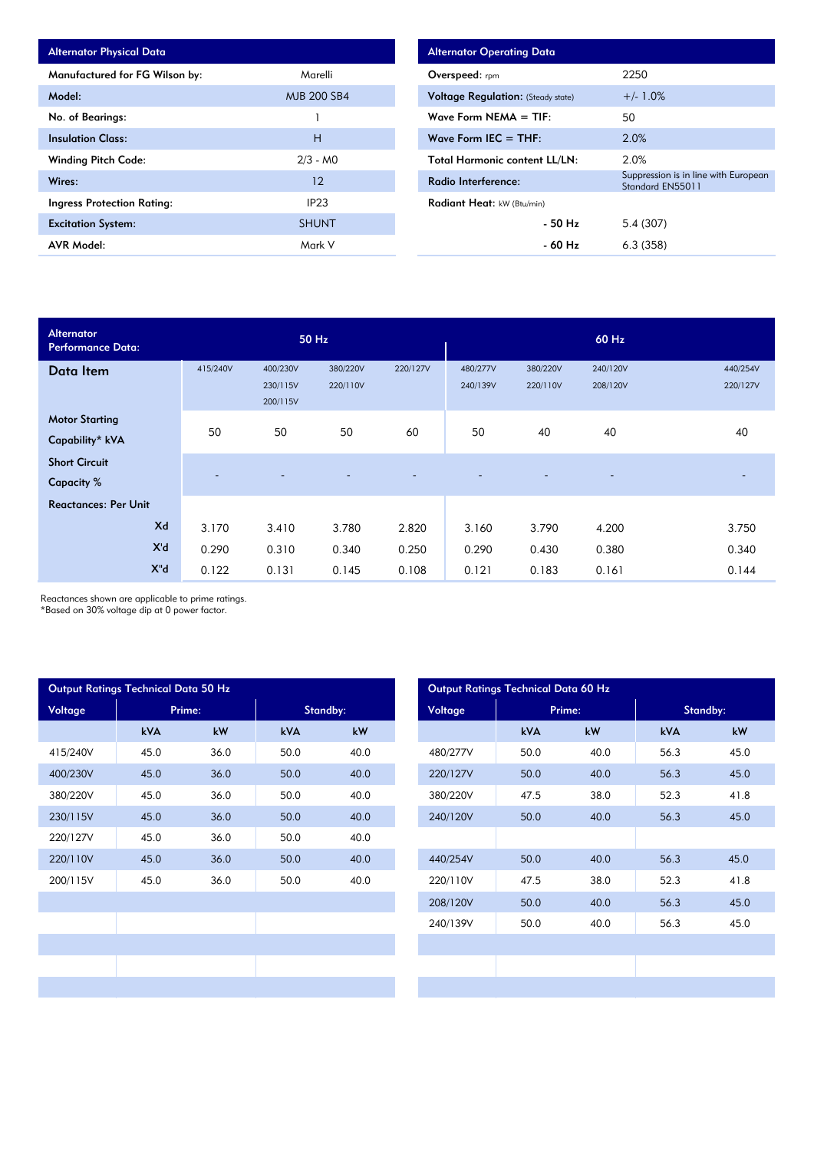| <b>Alternator Physical Data</b>   |                    |
|-----------------------------------|--------------------|
| Manufactured for FG Wilson by:    | Marelli            |
| Model:                            | <b>MJB 200 SB4</b> |
| No. of Bearings:                  |                    |
| <b>Insulation Class:</b>          | н                  |
| <b>Winding Pitch Code:</b>        | $2/3 - M0$         |
| Wires:                            | 12                 |
| <b>Ingress Protection Rating:</b> | IP <sub>23</sub>   |
| <b>Excitation System:</b>         | <b>SHUNT</b>       |
| <b>AVR Model:</b>                 | Mark V             |

| <b>Alternator Operating Data</b>          |                                                          |
|-------------------------------------------|----------------------------------------------------------|
| Overspeed: rpm                            | 2250                                                     |
| <b>Voltage Regulation:</b> (Steady state) | $+/- 1.0%$                                               |
| Wave Form NEMA $=$ TIF:                   | 50                                                       |
| Wave Form IEC $=$ THF:                    | 2.0%                                                     |
| <b>Total Harmonic content LL/LN:</b>      | 2.0%                                                     |
| Radio Interference:                       | Suppression is in line with European<br>Standard EN55011 |
| <b>Radiant Heat:</b> kW (Btu/min)         |                                                          |
| - 50 Hz                                   | 5.4(307)                                                 |
| - 60 Hz                                   | 6.3(358)                                                 |

| <b>Alternator</b><br><b>Performance Data:</b> |          |                                  | 50 Hz                    |                          |                      |                          | 60 Hz                    |                      |
|-----------------------------------------------|----------|----------------------------------|--------------------------|--------------------------|----------------------|--------------------------|--------------------------|----------------------|
| Data Item                                     | 415/240V | 400/230V<br>230/115V<br>200/115V | 380/220V<br>220/110V     | 220/127V                 | 480/277V<br>240/139V | 380/220V<br>220/110V     | 240/120V<br>208/120V     | 440/254V<br>220/127V |
| <b>Motor Starting</b><br>Capability* kVA      | 50       | 50                               | 50                       | 60                       | 50                   | 40                       | 40                       | 40                   |
| <b>Short Circuit</b><br><b>Capacity</b> %     |          | $\overline{\phantom{a}}$         | $\overline{\phantom{0}}$ | $\overline{\phantom{a}}$ | -                    | $\overline{\phantom{a}}$ | $\overline{\phantom{0}}$ |                      |
| <b>Reactances: Per Unit</b>                   |          |                                  |                          |                          |                      |                          |                          |                      |
| Xd                                            | 3.170    | 3.410                            | 3.780                    | 2.820                    | 3.160                | 3.790                    | 4.200                    | 3.750                |
| X'd                                           | 0.290    | 0.310                            | 0.340                    | 0.250                    | 0.290                | 0.430                    | 0.380                    | 0.340                |
| $X^{\mathrm{H}}$ d                            | 0.122    | 0.131                            | 0.145                    | 0.108                    | 0.121                | 0.183                    | 0.161                    | 0.144                |

Reactances shown are applicable to prime ratings.

\*Based on 30% voltage dip at 0 power factor.

|          | Output Ratings Technical Data 50 Hz | Output Ratings Technical Data 60 Hz |            |      |          |            |        |
|----------|-------------------------------------|-------------------------------------|------------|------|----------|------------|--------|
| Voltage  | Prime:                              |                                     | Standby:   |      | Voltage  |            | Prime: |
|          | <b>kVA</b>                          | kW                                  | <b>kVA</b> | kW   |          | <b>kVA</b> | kW     |
| 415/240V | 45.0                                | 36.0                                | 50.0       | 40.0 | 480/277V | 50.0       | 40.0   |
| 400/230V | 45.0                                | 36.0                                | 50.0       | 40.0 | 220/127V | 50.0       | 40.0   |
| 380/220V | 45.0                                | 36.0                                | 50.0       | 40.0 | 380/220V | 47.5       | 38.0   |
| 230/115V | 45.0                                | 36.0                                | 50.0       | 40.0 | 240/120V | 50.0       | 40.0   |
| 220/127V | 45.0                                | 36.0                                | 50.0       | 40.0 |          |            |        |
| 220/110V | 45.0                                | 36.0                                | 50.0       | 40.0 | 440/254V | 50.0       | 40.0   |
| 200/115V | 45.0                                | 36.0                                | 50.0       | 40.0 | 220/110V | 47.5       | 38.0   |
|          |                                     |                                     |            |      | 208/120V | 50.0       | 40.0   |
|          |                                     |                                     |            |      | 240/139V | 50.0       | 40.0   |
|          |                                     |                                     |            |      |          |            |        |
|          |                                     |                                     |            |      |          |            |        |
|          |                                     |                                     |            |      |          |            |        |